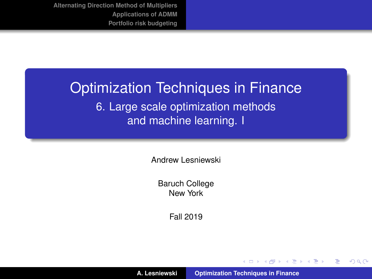# <span id="page-0-0"></span>Optimization Techniques in Finance 6. Large scale optimization methods and machine learning. I

Andrew Lesniewski

Baruch College New York

Fall 2019

(ロ) (個) (目) (目)

 $299$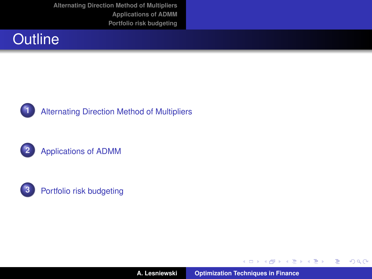# **Outline**



**1** [Alternating Direction Method of Multipliers](#page-3-0)





**A. Lesniewski [Optimization Techniques in Finance](#page-0-0)**

イロメ イ部メ イ君メ イ君メー

重

 $299$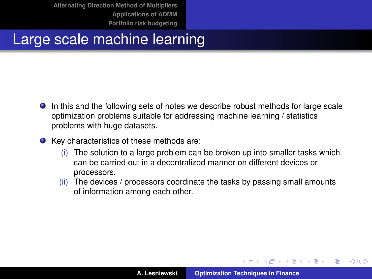# <span id="page-2-0"></span>Large scale machine learning

- In this and the following sets of notes we describe robust methods for large scale optimization problems suitable for addressing machine learning / statistics problems with huge datasets.
- Key characteristics of these methods are:
	- $(i)$  The solution to a large problem can be broken up into smaller tasks which can be carried out in a decentralized manner on different devices or processors.
	- (ii) The devices / processors coordinate the tasks by passing small amounts of information among each other.

イロメ イ部メ イ君メ イ君メー

 $QQ$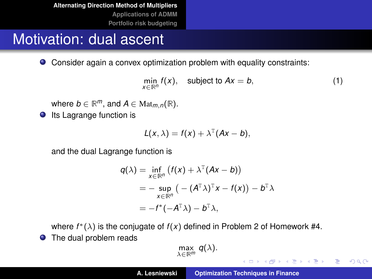# <span id="page-3-0"></span>Motivation: dual ascent

Consider again a convex optimization problem with equality constraints:

<span id="page-3-1"></span>
$$
\min_{x \in \mathbb{R}^n} f(x), \quad \text{subject to } Ax = b,
$$
\n(1)

where  $b \in \mathbb{R}^m$ , and  $A \in \text{Mat}_{m,n}(\mathbb{R})$ .

**Its Lagrange function is** 

$$
L(x,\lambda)=f(x)+\lambda^{T}(Ax-b),
$$

and the dual Lagrange function is

$$
q(\lambda) = \inf_{x \in \mathbb{R}^n} (f(x) + \lambda^{\mathsf{T}} (Ax - b))
$$
  
=  $-\sup_{x \in \mathbb{R}^n} (-(A^{\mathsf{T}} \lambda)^{\mathsf{T}} x - f(x)) - b^{\mathsf{T}} \lambda$   
=  $-f^*(-A^{\mathsf{T}} \lambda) - b^{\mathsf{T}} \lambda$ ,

where  $f^*(\lambda)$  is the conjugate of  $f(x)$  defined in Problem 2 of Homework #4.

**•** The dual problem reads

$$
\max_{\lambda\in\mathbb{R}^m}q(\lambda).
$$

K ロ ⊁ K 伊 ⊁ K 君 ⊁ K 君 ⊁ …

ミー  $299$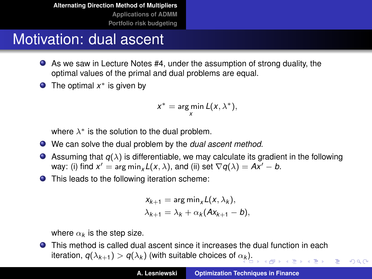# Motivation: dual ascent

- As we saw in Lecture Notes #4, under the assumption of strong duality, the optimal values of the primal and dual problems are equal.
- The optimal *x* <sup>∗</sup> is given by

$$
x^* = \underset{x}{\text{arg min}} L(x, \lambda^*),
$$

where  $\lambda^*$  is the solution to the dual problem.

- We can solve the dual problem by the *dual ascent method*.
- **Assuming that**  $q(\lambda)$  **is differentiable, we may calculate its gradient in the following** way: (i) find  $x' = \arg min_x L(x, \lambda)$ , and (ii) set  $\nabla q(\lambda) = Ax' - b$ .
- This leads to the following iteration scheme:

$$
x_{k+1} = \arg\min_{x} L(x, \lambda_k),
$$
  

$$
\lambda_{k+1} = \lambda_k + \alpha_k (Ax_{k+1} - b),
$$

where  $\alpha_{\pmb{k}}$  is the step size.

This method is called dual ascent since it increases the dual function in each iteration,  $q(\lambda_{k+1}) > q(\lambda_{k})$  $q(\lambda_{k+1}) > q(\lambda_{k})$  $q(\lambda_{k+1}) > q(\lambda_{k})$  (with suitable choices of  $\alpha_{k})$ 

 $QQQ$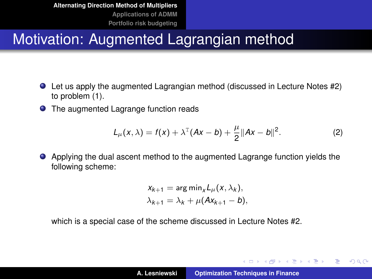# Motivation: Augmented Lagrangian method

- Let us apply the augmented Lagrangian method (discussed in Lecture Notes #2) to problem [\(1\)](#page-3-1).
- **O** The augmented Lagrange function reads

$$
L_{\mu}(x,\lambda) = f(x) + \lambda^{T}(Ax - b) + \frac{\mu}{2}||Ax - b||^{2}.
$$
 (2)

Applying the dual ascent method to the augmented Lagrange function yields the following scheme:

$$
x_{k+1} = \arg\min_{x} L_{\mu}(x, \lambda_k),
$$
  

$$
\lambda_{k+1} = \lambda_k + \mu(Ax_{k+1} - b),
$$

which is a special case of the scheme discussed in Lecture Notes #2.

イロメ イ部メ イヨメ イヨメー

 $QQ$ 

÷.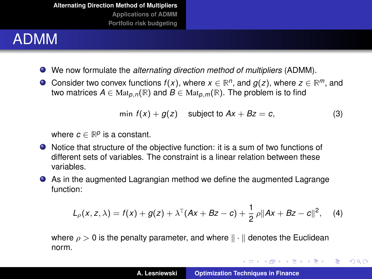# ADMM

- We now formulate the *alternating direction method of multipliers* (ADMM).
- Consider two convex functions  $f(x)$ , where  $x \in \mathbb{R}^n$ , and  $g(z)$ , where  $z \in \mathbb{R}^m$ , and two matrices  $A \in \text{Mat}_{p,n}(\mathbb{R})$  and  $B \in \text{Mat}_{p,m}(\mathbb{R})$ . The problem is to find

$$
\min f(x) + g(z) \quad \text{subject to } Ax + Bz = c,\tag{3}
$$

where  $c \in \mathbb{R}^p$  is a constant.

- Notice that structure of the objective function: it is a sum of two functions of different sets of variables. The constraint is a linear relation between these variables.
- As in the augmented Lagrangian method we define the augmented Lagrange function:

$$
L_{\rho}(x, z, \lambda) = f(x) + g(z) + \lambda^{T} (Ax + Bz - c) + \frac{1}{2} \rho ||Ax + Bz - c||^{2}, \quad (4)
$$

where  $\rho > 0$  is the penalty parameter, and where  $\|\cdot\|$  denotes the Euclidean norm.

K ロ ⊁ K 伊 ⊁ K 君 ⊁ K 君 ⊁ …

重。  $299$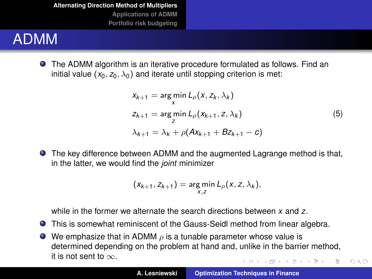# <span id="page-7-0"></span>ADMM

The ADMM algorithm is an iterative procedure formulated as follows. Find an initial value  $(x_0, z_0, \lambda_0)$  and iterate until stopping criterion is met:

$$
x_{k+1} = \arg\min_{x} L_{\rho}(x, z_k, \lambda_k)
$$
  
\n
$$
z_{k+1} = \arg\min_{z} L_{\rho}(x_{k+1}, z, \lambda_k)
$$
  
\n
$$
\lambda_{k+1} = \lambda_k + \rho(Ax_{k+1} + Bz_{k+1} - c)
$$
\n(5)

The key difference between ADMM and the augmented Lagrange method is that, in the latter, we would find the *joint* minimizer

$$
(x_{k+1}, z_{k+1}) = \argmin_{x,z} L_{\rho}(x, z, \lambda_k),
$$

while in the former we alternate the search directions between *x* and *z*.

- This is somewhat reminiscent of the Gauss-Seidl method from linear algebra.
- $\bullet$  We emphasize that in ADMM  $\rho$  is a tunable parameter whose value is determined depending on the problem at hand and, unlike in the barrier method, it is not sent to  $\infty$ . イロメ イ団メ イヨメ イヨメー 重

 $299$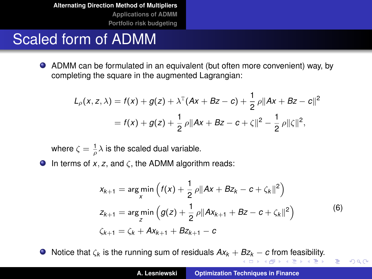# <span id="page-8-0"></span>Scaled form of ADMM

ADMM can be formulated in an equivalent (but often more convenient) way, by completing the square in the augmented Lagrangian:

$$
L_{\rho}(x, z, \lambda) = f(x) + g(z) + \lambda^{T} (Ax + Bz - c) + \frac{1}{2} \rho ||Ax + Bz - c||^{2}
$$
  
=  $f(x) + g(z) + \frac{1}{2} \rho ||Ax + Bz - c + \zeta||^{2} - \frac{1}{2} \rho ||\zeta||^{2},$ 

where  $\zeta = \frac{1}{\rho} \lambda$  is the scaled dual variable.

 $\bullet$  In terms of *x*, *z*, and *ζ*, the ADMM algorithm reads:

$$
x_{k+1} = \arg\min_{x} \left( f(x) + \frac{1}{2} \rho \|Ax + Bz_k - c + \zeta_k\|^2 \right)
$$
  
\n
$$
z_{k+1} = \arg\min_{z} \left( g(z) + \frac{1}{2} \rho \|Ax_{k+1} + Bz - c + \zeta_k\|^2 \right)
$$
(6)  
\n
$$
\zeta_{k+1} = \zeta_k + Ax_{k+1} + Bz_{k+1} - c
$$

 $\bullet$ Noti[c](#page-7-0)e that  $\zeta_k$  is the running sum [o](#page-9-0)f re[s](#page-16-0)iduals  $Ax_k + Bz_k - c$  $Ax_k + Bz_k - c$  $Ax_k + Bz_k - c$  [fr](#page-8-0)o[m](#page-2-0) [f](#page-3-0)[ea](#page-15-0)s[ib](#page-2-0)[il](#page-3-0)[it](#page-15-0)[y.](#page-16-0)

 $2Q$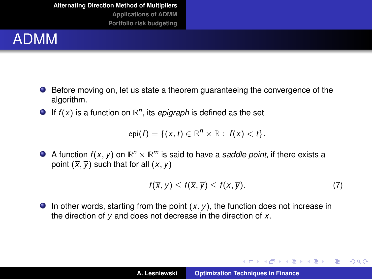#### <span id="page-9-0"></span>ADMM

- Before moving on, let us state a theorem guaranteeing the convergence of the algorithm.
- If  $f(x)$  is a function on  $\mathbb{R}^n$ , its *epigraph* is defined as the set

 $epi(f) = \{(x, t) \in \mathbb{R}^n \times \mathbb{R} : f(x) < t\}.$ 

A function  $f(x, y)$  on  $\mathbb{R}^n \times \mathbb{R}^m$  is said to have a *saddle point*, if there exists a point  $(\overline{x}, \overline{y})$  such that for all  $(x, y)$ 

$$
f(\overline{x}, y) \le f(\overline{x}, \overline{y}) \le f(x, \overline{y}). \tag{7}
$$

K ロ ▶ K 御 ▶ K 重 ▶ K 重 ▶ 三重 → 約 Q @

**IDED** In other words, starting from the point  $(\overline{x}, \overline{y})$ , the function does not increase in the direction of *y* and does not decrease in the direction of *x*.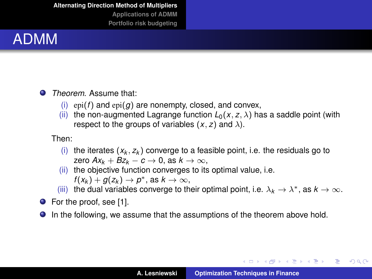**[Alternating Direction Method of Multipliers](#page-3-0) [Applications of ADMM](#page-16-0)**

**[Portfolio risk budgeting](#page-30-0)**

#### ADMM

#### $\bullet$ *Theorem*. Assume that:

- (i)  $epi(f)$  and  $epi(g)$  are nonempty, closed, and convex,
- (ii) the non-augmented Lagrange function  $L_0(x, z, \lambda)$  has a saddle point (with respect to the groups of variables  $(x, z)$  and  $\lambda$ ).

#### Then:

- $(i)$  the iterates  $(x_k, z_k)$  converge to a feasible point, i.e. the residuals go to zero  $Ax_k + Bz_k - c \rightarrow 0$ , as  $k \rightarrow \infty$ ,
- (ii) the objective function converges to its optimal value, i.e.  $f(x_k) + g(z_k) \rightarrow p^*$ , as  $k \rightarrow \infty$ ,
- (iii) the dual variables converge to their optimal point, i.e.  $\lambda_k \to \lambda^*$ , as  $k \to \infty$ .
- **•** For the proof, see [\[1\]](#page-39-1).
- $\bullet$ In the following, we assume that the assumptions of the theorem above hold.

イロメ イ団メ イヨメ イヨメー

÷.

 $298$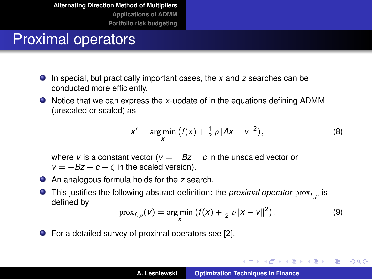# Proximal operators

- In special, but practically important cases, the *x* and *z* searches can be conducted more efficiently.
- Notice that we can express the *x*-update of in the equations defining ADMM (unscaled or scaled) as

<span id="page-11-0"></span>
$$
x' = \argmin_{x} (f(x) + \frac{1}{2} \rho ||Ax - v||^{2}),
$$
 (8)

where *v* is a constant vector ( $v = -Bz + c$  in the unscaled vector or  $v = -Bz + c + \zeta$  in the scaled version).

- An analogous formula holds for the *z* search.
- This justifies the following abstract definition: the *proximal operator* prox*f*,ρ is defined by

$$
\text{prox}_{f, \rho}(v) = \arg\min_{x} (f(x) + \frac{1}{2} \rho \|x - v\|^2). \tag{9}
$$

イロメ イ団メ イヨメ イヨメー

 $2Q$ 

重

For a detailed survey of proximal operators see [\[2\]](#page-39-2).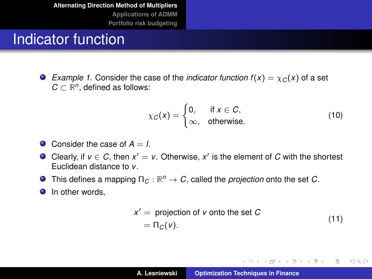# Indicator function

**Example 1.** Consider the case of the *indicator function*  $f(x) = \chi_C(x)$  of a set  $C \subset \mathbb{R}^n$ , defined as follows:

<span id="page-12-0"></span>
$$
\chi_C(x) = \begin{cases} 0, & \text{if } x \in C, \\ \infty, & \text{otherwise.} \end{cases} \tag{10}
$$

- $\bullet$  Consider the case of  $A = I$ .
- Clearly, if  $v \in C$ , then  $x' = v$ . Otherwise,  $x'$  is the element of C with the shortest Euclidean distance to *v*.
- This defines a mapping  $\Pi_C : \mathbb{R}^n \to C$ , called the *projection* onto the set C.
- **O** In other words,

$$
x' = \text{projection of } v \text{ onto the set } C
$$
  
=  $\Pi_C(v)$ . (11)

K ロ ⊁ K 伊 ⊁ K 君 ⊁ K 君 ⊁ …

 $2Q$ 言い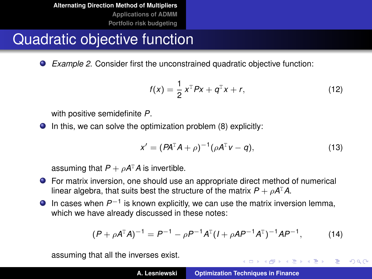# Quadratic objective function

*Example 2*. Consider first the unconstrained quadratic objective function: .

$$
f(x) = \frac{1}{2} x^{\mathrm{T}} P x + q^{\mathrm{T}} x + r, \qquad (12)
$$

with positive semidefinite *P*.

 $\bullet$  In this, we can solve the optimization problem [\(8\)](#page-11-0) explicitly:

$$
x' = (P A^{T} A + \rho)^{-1} (\rho A^{T} v - q), \qquad (13)
$$

K ロ ⊁ K 伊 ⊁ K 君 ⊁ K 君 ⊁ …

重。  $2Q$ 

assuming that  $P + \rho A^{T}A$  is invertible.

- For matrix inversion, one should use an appropriate direct method of numerical linear algebra, that suits best the structure of the matrix  $P + \rho A^{T}A$ .
- In cases when *P*−<sup>1</sup> is known explicitly, we can use the matrix inversion lemma, which we have already discussed in these notes:

$$
(P + \rho A^{T} A)^{-1} = P^{-1} - \rho P^{-1} A^{T} (I + \rho A P^{-1} A^{T})^{-1} A P^{-1}, \qquad (14)
$$

assuming that all the inverses exist.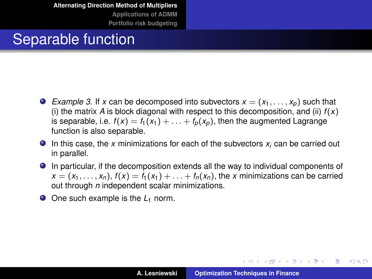# Separable function

- *Example 3.* If *x* can be decomposed into subvectors  $x = (x_1, \ldots, x_p)$  such that (i) the matrix  $A$  is block diagonal with respect to this decomposition, and (ii)  $f(x)$ is separable, i.e.  $f(x) = f_1(x_1) + \ldots + f_p(x_p)$ , then the augmented Lagrange function is also separable.
- In this case, the *x* minimizations for each of the subvectors *x<sup>i</sup>* can be carried out in parallel.
- In particular, if the decomposition extends all the way to individual components of  $x = (x_1, \ldots, x_n)$ ,  $f(x) = f_1(x_1) + \ldots + f_n(x_n)$ , the *x* minimizations can be carried out through *n* independent scalar minimizations.
- One such example is the *L*<sub>1</sub> norm.

イロメ イ部メ イヨメ イヨメー

Þ

 $298$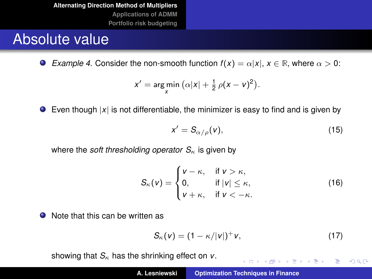#### <span id="page-15-0"></span>Absolute value

*Example 4.* **Consider the non-smooth function**  $f(x) = \alpha |x|, x \in \mathbb{R}$ **, where**  $\alpha > 0$ **:** 

$$
x' = \underset{x}{\arg\min} \left( \alpha |x| + \frac{1}{2} \rho (x - v)^2 \right).
$$

Even though |*x*| is not differentiable, the minimizer is easy to find and is given by

$$
x' = S_{\alpha/\rho}(v),\tag{15}
$$

where the *soft thresholding operator*  $S_{\kappa}$  is given by

$$
S_{\kappa}(v) = \begin{cases} v - \kappa, & \text{if } v > \kappa, \\ 0, & \text{if } |v| \leq \kappa, \\ v + \kappa, & \text{if } v < -\kappa. \end{cases}
$$
 (16)

Note that this can be written as

$$
S_{\kappa}(v)=(1-\kappa/|v|)^{+}v,\qquad \qquad (17)
$$

K ロ ▶ K 御 ▶ K 唐 ▶ K 唐 ▶ 『唐』

 $2Q$ 

showing that  $S_k$  has the shrinking effect on  $v$ .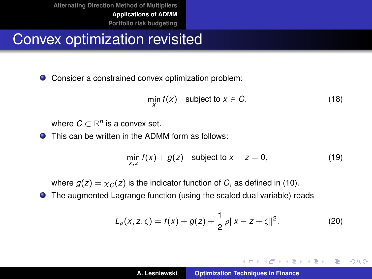<span id="page-16-0"></span>Convex optimization revisited

Consider a constrained convex optimization problem:

$$
\min_{x} f(x) \quad \text{subject to } x \in C, \tag{18}
$$

where  $C \subset \mathbb{R}^n$  is a convex set.

**O** This can be written in the ADMM form as follows:

$$
\min_{x,z} f(x) + g(z) \quad \text{subject to } x - z = 0,
$$
\n(19)

where  $g(z) = \chi_C(z)$  is the indicator function of *C*, as defined in [\(10\)](#page-12-0).

The augmented Lagrange function (using the scaled dual variable) reads

$$
L_{\rho}(x, z, \zeta) = f(x) + g(z) + \frac{1}{2} \rho \|x - z + \zeta\|^2.
$$
 (20)

イロメ イ部メ イヨメ イヨメー

 $2Q$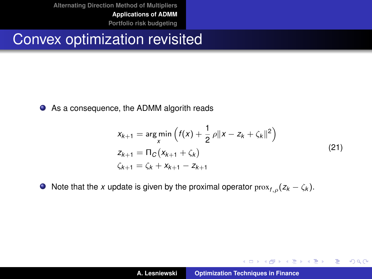# Convex optimization revisited

As a consequence, the ADMM algorith reads

$$
x_{k+1} = \underset{x}{\arg\min} \left( f(x) + \frac{1}{2} \rho \|x - z_k + \zeta_k\|^2 \right)
$$
  
\n
$$
z_{k+1} = \Pi_C (x_{k+1} + \zeta_k)
$$
  
\n
$$
\zeta_{k+1} = \zeta_k + x_{k+1} - z_{k+1}
$$
\n(21)

 $\bullet$  Note that the *x* update is given by the proximal operator  $prox_{f,\rho}(z_k - \zeta_k)$ .

イロメ イ団メ イヨメ イヨメー

重

 $2Q$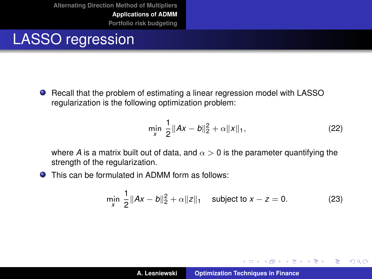# LASSO regression

● Recall that the problem of estimating a linear regression model with LASSO regularization is the following optimization problem:

$$
\min_{x} \frac{1}{2} \|Ax - b\|_{2}^{2} + \alpha \|x\|_{1},
$$
\n(22)

イロメ イ部メ イヨメ イヨメー

 $2Q$ 

重

where *A* is a matrix built out of data, and  $\alpha > 0$  is the parameter quantifying the strength of the regularization.

**O** This can be formulated in ADMM form as follows:

$$
\min_{x} \frac{1}{2} \|Ax - b\|_2^2 + \alpha \|z\|_1 \quad \text{subject to } x - z = 0. \tag{23}
$$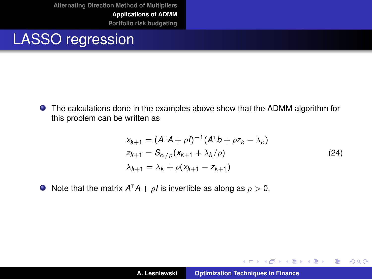### LASSO regression

The calculations done in the examples above show that the ADMM algorithm for this problem can be written as

$$
x_{k+1} = (A^T A + \rho I)^{-1} (A^T b + \rho z_k - \lambda_k)
$$
  
\n
$$
z_{k+1} = S_{\alpha/\rho} (x_{k+1} + \lambda_k/\rho)
$$
  
\n
$$
\lambda_{k+1} = \lambda_k + \rho (x_{k+1} - z_{k+1})
$$
\n(24)

Note that the matrix  $A^T A + \rho I$  is invertible as along as  $\rho > 0$ .

イロメ イ団メ イヨメ イヨメー

重

 $2Q$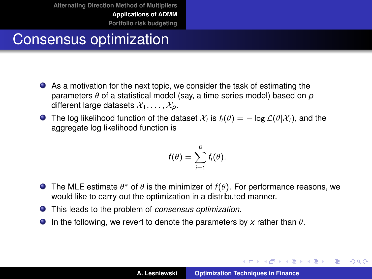# Consensus optimization

- As a motivation for the next topic, we consider the task of estimating the parameters θ of a statistical model (say, a time series model) based on *p* different large datasets  $X_1, \ldots, X_p$ .
- The log likelihood function of the dataset  $\mathcal{X}_i$  is  $f_i(\theta)=-\log\mathcal{L}(\theta|\mathcal{X}_i)$ , and the aggregate log likelihood function is

$$
f(\theta)=\sum_{i=1}^p f_i(\theta).
$$

- The MLE estimate  $\theta^*$  of  $\theta$  is the minimizer of  $f(\theta)$ . For performance reasons, we would like to carry out the optimization in a distributed manner.
- This leads to the problem of *consensus optimization*.
- $\bullet$ In the following, we revert to denote the parameters by *x* rather than θ.

イロメ イ団メ イヨメ イヨメー

 $2Q$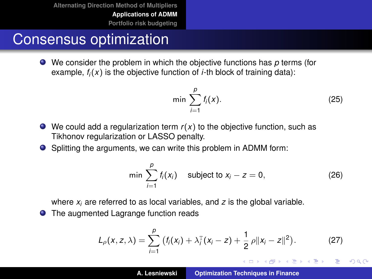# Consensus optimization

We consider the problem in which the objective functions has *p* terms (for example,  $f_i(x)$  is the objective function of *i*-th block of training data):

$$
\min \sum_{i=1}^{p} f_i(x). \tag{25}
$$

イロメ イ部メ イヨメ イヨメー

 $2Q$ 

Þ

- $\bullet$  We could add a regularization term  $r(x)$  to the objective function, such as Tikhonov regularization or LASSO penalty.
- Splitting the arguments, we can write this problem in ADMM form:

$$
\min \sum_{i=1}^{p} f_i(x_i) \quad \text{subject to } x_i - z = 0,
$$
 (26)

where *x<sup>i</sup>* are referred to as local variables, and *z* is the global variable.

**O** The augmented Lagrange function reads

$$
L_{\rho}(x, z, \lambda) = \sum_{i=1}^{p} (f_i(x_i) + \lambda_i^{T}(x_i - z) + \frac{1}{2} \rho ||x_i - z||^2).
$$
 (27)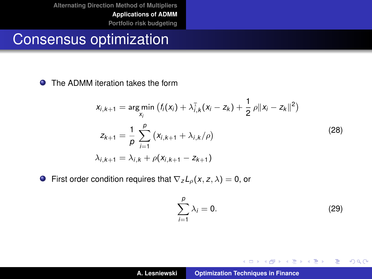#### Consensus optimization

#### **O** The ADMM iteration takes the form

$$
x_{i,k+1} = \underset{x_i}{\arg\min} (f_i(x_i) + \lambda_{i,k}^T(x_i - z_k) + \frac{1}{2} \rho ||x_i - z_k||^2)
$$
  

$$
z_{k+1} = \frac{1}{\rho} \sum_{i=1}^{\rho} (x_{i,k+1} + \lambda_{i,k}/\rho)
$$
 (28)  

$$
\lambda_{i,k+1} = \lambda_{i,k} + \rho(x_{i,k+1} - z_{k+1})
$$

First order condition requires that  $\nabla_z L_\rho(x, z, \lambda) = 0$ , or

$$
\sum_{i=1}^{p} \lambda_i = 0. \tag{29}
$$

イロトメ 御 トメ 君 トメ 君 トー

重

 $2Q$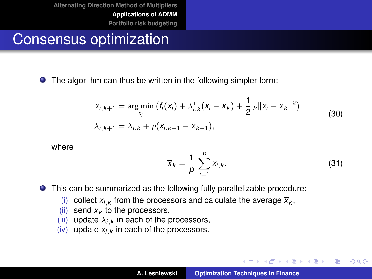### Consensus optimization

The algorithm can thus be written in the following simpler form:

$$
x_{i,k+1} = \underset{x_i}{\arg \min} (f_i(x_i) + \lambda_{i,k}^{\mathrm{T}}(x_i - \overline{x}_k) + \frac{1}{2} \rho \|x_i - \overline{x}_k\|^2)
$$
  
\n
$$
\lambda_{i,k+1} = \lambda_{i,k} + \rho(x_{i,k+1} - \overline{x}_{k+1}),
$$
\n(30)

where

$$
\overline{x}_k = \frac{1}{p} \sum_{i=1}^p x_{i,k}.
$$
 (31)

イロメ イ部メ イヨメ イヨメー

 $2Q$ 

- This can be summarized as the following fully parallelizable procedure:  $\bullet$ 
	- (i) collect  $x_{i,k}$  from the processors and calculate the average  $\overline{x}_k$ ,
	- (ii) send  $\overline{x}_k$  to the processors,
	- $(iii)$  update  $\lambda_{i,k}$  in each of the processors,
	- $(iv)$  update  $x_{i,k}$  in each of the processors.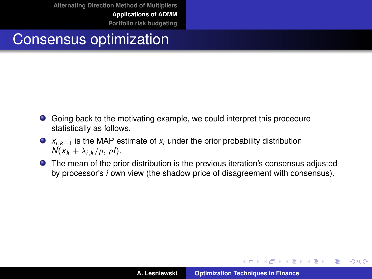# Consensus optimization

- Going back to the motivating example, we could interpret this procedure statistically as follows.
- $\bullet$   $x_{i,k+1}$  is the MAP estimate of  $x_i$  under the prior probability distribution  $N(\bar{x}_k + \lambda_{i,k}/\rho, \rho)$ .
- The mean of the prior distribution is the previous iteration's consensus adjusted by processor's *i* own view (the shadow price of disagreement with consensus).

イロメ イ部メ イヨメ イヨメー

 $2Q$ 

Þ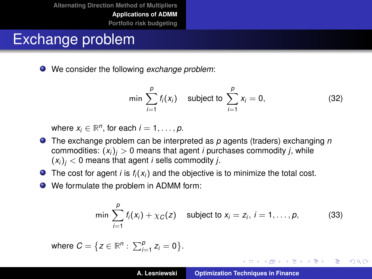# <span id="page-25-0"></span>Exchange problem

We consider the following *exchange problem*:

$$
\min \sum_{i=1}^{p} f_i(x_i) \quad \text{subject to } \sum_{i=1}^{p} x_i = 0,
$$
 (32)

where  $x_i \in \mathbb{R}^n$ , for each  $i = 1, \ldots, p$ .

- The exchange problem can be interpreted as *p* agents (traders) exchanging *n* commodities:  $(x_i)_i > 0$  means that agent *i* purchases commodity *j*, while  $(x_i)_i < 0$  means that agent *i* sells commodity *j*.
- $\bullet$  The cost for agent *i* is  $f_i(x_i)$  and the objective is to minimize the total cost.
- We formulate the problem in ADMM form:

$$
\min \sum_{i=1}^{p} f_i(x_i) + \chi_C(z) \quad \text{subject to } x_i = z_i, \, i = 1, \ldots, p, \tag{33}
$$

where  $C = \{ z \in \mathbb{R}^n : \sum_{i=1}^p z_i = 0 \}.$ 

イロメ イ部メ イ君メ イ君メー

画

 $2Q$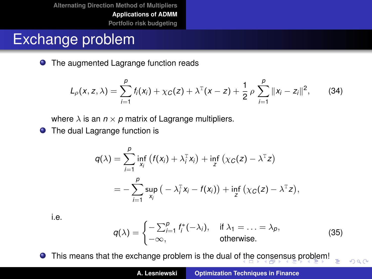# <span id="page-26-0"></span>Exchange problem

**•** The augmented Lagrange function reads

$$
L_{\rho}(x, z, \lambda) = \sum_{i=1}^{p} f_i(x_i) + \chi_C(z) + \lambda^{T}(x - z) + \frac{1}{2} \rho \sum_{i=1}^{p} ||x_i - z_i||^2, \qquad (34)
$$

where  $\lambda$  is an  $n \times p$  matrix of Lagrange multipliers.

**•** The dual Lagrange function is

$$
q(\lambda) = \sum_{i=1}^p \inf_{x_i} (f(x_i) + \lambda_i^{\mathrm{T}} x_i) + \inf_{z} (x_C(z) - \lambda^{\mathrm{T}} z)
$$
  
= 
$$
-\sum_{i=1}^p \sup_{x_i} (-\lambda_i^{\mathrm{T}} x_i - f(x_i)) + \inf_{z} (x_C(z) - \lambda^{\mathrm{T}} z),
$$

i.e.

$$
q(\lambda) = \begin{cases} -\sum_{i=1}^{p} f_i^*(-\lambda_i), & \text{if } \lambda_1 = \ldots = \lambda_p, \\ -\infty, & \text{otherwise.} \end{cases}
$$
 (35)

 $2Q$ 

This means that the exchange problem is the dual o[f th](#page-25-0)[e c](#page-27-0)[o](#page-25-0)[nse](#page-26-0)[n](#page-27-0)[s](#page-15-0)[us](#page-16-0)[pr](#page-30-0)[o](#page-15-0)[bl](#page-16-0)[e](#page-29-0)[m](#page-30-0)[!](#page-0-0) Þ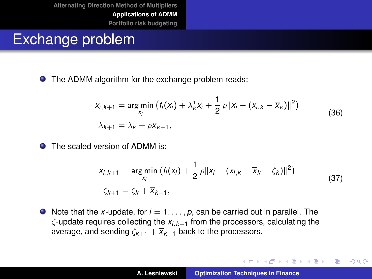# <span id="page-27-0"></span>Exchange problem

The ADMM algorithm for the exchange problem reads:

$$
x_{i,k+1} = \arg\min_{x_i} (f_i(x_i) + \lambda_k^{\mathrm{T}} x_i + \frac{1}{2} \rho ||x_i - (x_{i,k} - \overline{x}_k)||^2)
$$
  

$$
\lambda_{k+1} = \lambda_k + \rho \overline{x}_{k+1},
$$
 (36)

**O** The scaled version of ADMM is:

$$
x_{i,k+1} = \underset{x_i}{\arg\min} (f_i(x_i) + \frac{1}{2} \rho \|x_i - (x_{i,k} - \overline{x}_k - \zeta_k)\|^2)
$$
  

$$
\zeta_{k+1} = \zeta_k + \overline{x}_{k+1},
$$
 (37)

 $\bullet$  Note that the *x*-update, for  $i = 1, \ldots, p$ , can be carried out in parallel. The ζ-update requires collecting the *xi*,*k*+<sup>1</sup> from the processors, calculating the average, and sending  $\zeta_{k+1} + \overline{x}_{k+1}$  back to the processors.

イロメ イ部メ イヨメ イヨメー

 $2Q$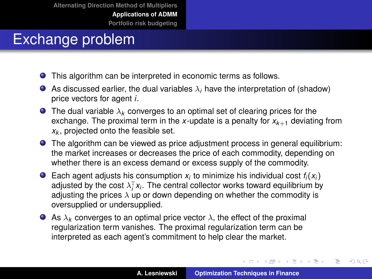# Exchange problem

- This algorithm can be interpreted in economic terms as follows.
- As discussed earlier, the dual variables  $\lambda_i$  have the interpretation of (shadow) price vectors for agent *i*.
- **The dual variable**  $\lambda_k$  **converges to an optimal set of clearing prices for the** exchange. The proximal term in the *x*-update is a penalty for  $x_{k+1}$  deviating from *xk* , projected onto the feasible set.
- The algorithm can be viewed as price adjustment process in general equilibrium: the market increases or decreases the price of each commodity, depending on whether there is an excess demand or excess supply of the commodity.
- Each agent adjusts his consumption  $x_i$  to minimize his individual cost  $f_i(x_i)$ adjusted by the cost  $\lambda_i^T x_i$ . The central collector works toward equilibrium by adjusting the prices  $\lambda$  up or down depending on whether the commodity is oversupplied or undersupplied.
- As  $\lambda_k$  converges to an optimal price vector  $\lambda$ , the effect of the proximal regularization term vanishes. The proximal regularization term can be interpreted as each agent's commitment to help clear the market.

イロメ イ部メ イ君メ イ君メー

 $2Q$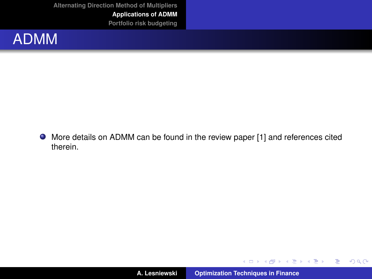<span id="page-29-0"></span>

More details on ADMM can be found in the review paper [\[1\]](#page-39-1) and references cited therein.

イロトメ 御 トメ 君 トメ 君 トー

■ 1  $298$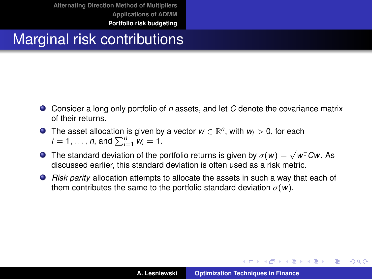# <span id="page-30-0"></span>Marginal risk contributions

- Consider a long only portfolio of *n* assets, and let *C* denote the covariance matrix of their returns.
- The asset allocation is given by a vector  $w \in \mathbb{R}^n$ , with  $w_i > 0$ , for each  $i = 1, \ldots, n$ , and  $\sum_{i=1}^{n} w_i = 1$ .
- The standard deviation of the portfolio returns is given by  $\sigma(w) = \sqrt{w^T C w}$ . As discussed earlier, this standard deviation is often used as a risk metric.
- *Risk parity* allocation attempts to allocate the assets in such a way that each of them contributes the same to the portfolio standard deviation  $\sigma(w)$ .

イロメ イ部メ イヨメ イヨメー

÷.  $298$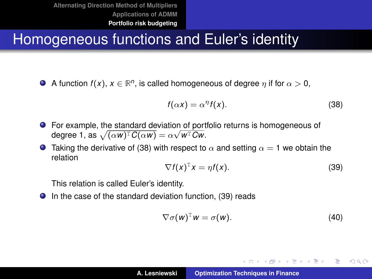# Homogeneous functions and Euler's identity

A function  $f(x)$ ,  $x\in\mathbb{R}^n$ , is called homogeneous of degree  $\eta$  if for  $\alpha>0,$ 

<span id="page-31-0"></span>
$$
f(\alpha x) = \alpha^{\eta} f(x). \tag{38}
$$

- For example, the standard deviation of portfolio returns is homogeneous of degree 1, as  $\sqrt{(\alpha w)^{\text{\tiny T}}}\textit{C}(\alpha w)=\alpha\sqrt{w^{\text{\tiny T}}\textit{C}w}.$
- **Taking the derivative of [\(38\)](#page-31-0) with respect to**  $\alpha$  **and setting**  $\alpha = 1$  **we obtain the** relation

<span id="page-31-1"></span>
$$
\nabla f(x)^{\mathrm{T}} x = \eta f(x). \tag{39}
$$

This relation is called Euler's identity.

● In the case of the standard deviation function, [\(39\)](#page-31-1) reads

$$
\nabla \sigma(w)^{\mathrm{T}} w = \sigma(w). \tag{40}
$$

イロメ イ団メ イヨメ イヨメー

 $2Q$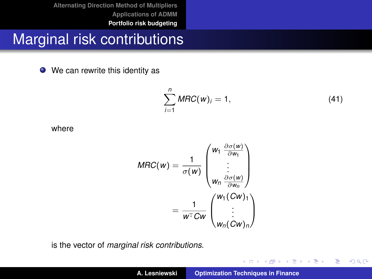#### Marginal risk contributions

● We can rewrite this identity as

$$
\sum_{i=1}^{n} MRC(w)_i = 1,
$$
 (41)

イロメ イ部メ イヨメ イヨメー

重

 $2QQ$ 

where

$$
MRC(w) = \frac{1}{\sigma(w)} \begin{pmatrix} w_1 \frac{\partial \sigma(w)}{\partial w_1} \\ \vdots \\ w_n \frac{\partial \sigma(w)}{\partial w_n} \end{pmatrix}
$$

$$
= \frac{1}{w^T C w} \begin{pmatrix} w_1(Cw)_1 \\ \vdots \\ w_n(Cw)_n \end{pmatrix}
$$

is the vector of *marginal risk contributions*.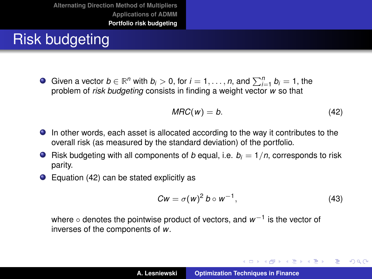# Risk budgeting

Given a vector  $b \in \mathbb{R}^n$  with  $b_i > 0$ , for  $i = 1, ..., n$ , and  $\sum_{i=1}^n b_i = 1$ , the problem of *risk budgeting* consists in finding a weight vector *w* so that

<span id="page-33-0"></span>
$$
MRC(w) = b. \tag{42}
$$

- In other words, each asset is allocated according to the way it contributes to the overall risk (as measured by the standard deviation) of the portfolio.
- **•** Risk budgeting with all components of *b* equal, i.e.  $b_i = 1/n$ , corresponds to risk parity.
- $\bullet$  Equation [\(42\)](#page-33-0) can be stated explicitly as

<span id="page-33-1"></span>
$$
Cw = \sigma(w)^2 b \circ w^{-1}, \qquad (43)
$$

イロメ イ団メ イヨメ イヨメー

重  $2Q$ 

where ◦ denotes the pointwise product of vectors, and *w*−<sup>1</sup> is the vector of inverses of the components of *w*.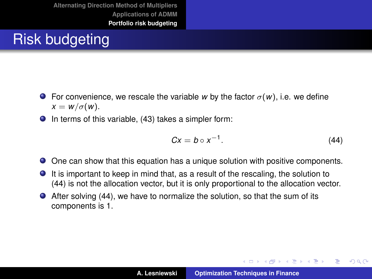# Risk budgeting

- **For convenience, we rescale the variable w by the factor**  $\sigma(w)$ **, i.e. we define**  $x = w/\sigma(w)$ .
- $\bullet$  In terms of this variable, [\(43\)](#page-33-1) takes a simpler form:

<span id="page-34-0"></span>
$$
Cx = b \circ x^{-1}.\tag{44}
$$

イロメ イ部メ イヨメ イヨメー

重

 $298$ 

- One can show that this equation has a unique solution with positive components.
- It is important to keep in mind that, as a result of the rescaling, the solution to [\(44\)](#page-34-0) is not the allocation vector, but it is only proportional to the allocation vector.
- After solving [\(44\)](#page-34-0), we have to normalize the solution, so that the sum of its components is 1.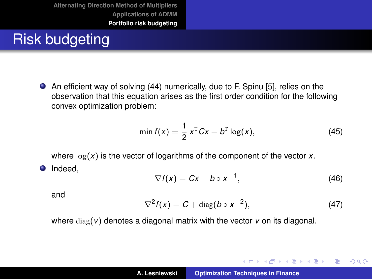# Risk budgeting

An efficient way of solving [\(44\)](#page-34-0) numerically, due to F. Spinu [\[5\]](#page-39-3), relies on the observation that this equation arises as the first order condition for the following convex optimization problem:

$$
\min f(x) = \frac{1}{2} x^{\mathrm{T}} C x - b^{\mathrm{T}} \log(x), \tag{45}
$$

where log(*x*) is the vector of logarithms of the component of the vector *x*. **O** Indeed.

$$
\nabla f(x) = Cx - b \circ x^{-1}, \qquad (46)
$$

and

$$
\nabla^2 f(x) = C + \text{diag}(b \circ x^{-2}), \tag{47}
$$

イロメ イ部メ イヨメ イヨメー

 $2Q$ 

重

where diag(*v*) denotes a diagonal matrix with the vector *v* on its diagonal.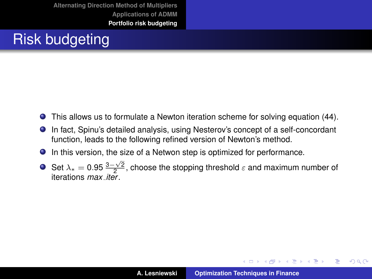# Risk budgeting

- This allows us to formulate a Newton iteration scheme for solving equation [\(44\)](#page-34-0).  $\bullet$
- In fact, Spinu's detailed analysis, using Nesterov's concept of a self-concordant function, leads to the following refined version of Newton's method.
- In this version, the size of a Netwon step is optimized for performance.
- Set  $\lambda_* = 0.95 \frac{3-\sqrt{2}}{2}$ , choose the stopping threshold  $\varepsilon$  and maximum number of iterations *max iter*.

イロメ イ部メ イ君メ イ君メー

 $QQQ$ Þ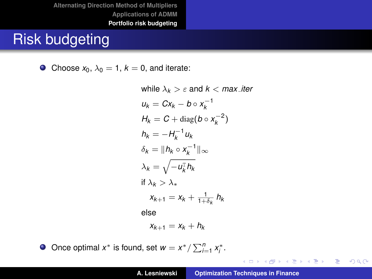# Risk budgeting

Choose  $x_0$ ,  $\lambda_0 = 1$ ,  $k = 0$ , and iterate:  $\bullet$ 

> while  $\lambda_k > \varepsilon$  and  $k < \text{max\_iter}$  $u_k = Cx_k - b \circ x_k^{-1}$  $H_k = C + \text{diag}(b \circ x_k^{-2})$  $h_k = -H_k^{-1}u_k$  $\delta_k = ||h_k \circ x_k^{-1}||_{\infty}$  $\lambda_k = \sqrt{-u_k^{\text{\tiny T}}} h_k$ if  $\lambda_k > \lambda_*$  $x_{k+1} = x_k + \frac{1}{1+\delta_k} h_k$ else  $X_{k+1} = X_k + h_k$

Once optimal  $x^*$  is found, set  $w = x^* / \sum_{i=1}^n x_i^*$ .  $\bullet$ 

イロメ イ部メ イヨメ イヨメー

 $2Q$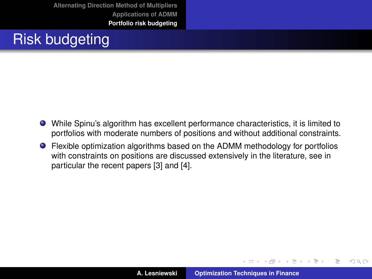# Risk budgeting

- While Spinu's algorithm has excellent performance characteristics, it is limited to portfolios with moderate numbers of positions and without additional constraints.
- Flexible optimization algorithms based on the ADMM methodology for portfolios with constraints on positions are discussed extensively in the literature, see in particular the recent papers [\[3\]](#page-39-4) and [\[4\]](#page-39-5).

 $\left\{ \begin{array}{ccc} 1 & 0 & 0 \\ 0 & 1 & 0 \end{array} \right.$ 

 $2Q$ 

Þ